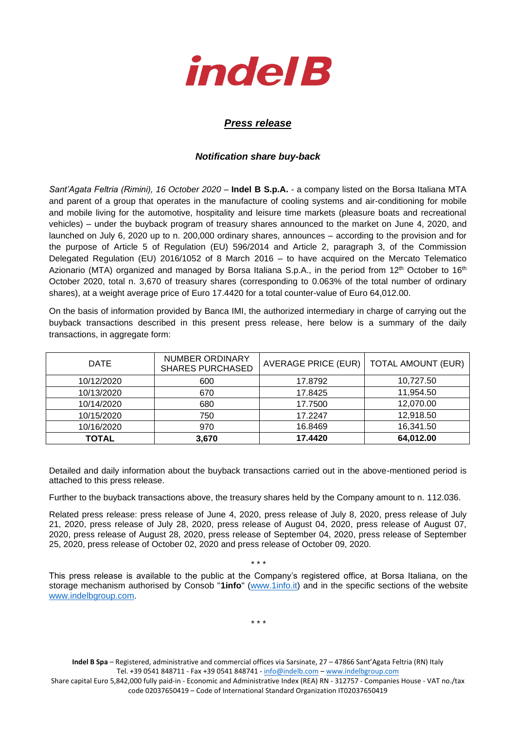

## *Press release*

## *Notification share buy-back*

*Sant'Agata Feltria (Rimini), 16 October 2020* – **Indel B S.p.A.** - a company listed on the Borsa Italiana MTA and parent of a group that operates in the manufacture of cooling systems and air-conditioning for mobile and mobile living for the automotive, hospitality and leisure time markets (pleasure boats and recreational vehicles) – under the buyback program of treasury shares announced to the market on June 4, 2020, and launched on July 6, 2020 up to n. 200,000 ordinary shares, announces – according to the provision and for the purpose of Article 5 of Regulation (EU) 596/2014 and Article 2, paragraph 3, of the Commission Delegated Regulation (EU) 2016/1052 of 8 March 2016 – to have acquired on the Mercato Telematico Azionario (MTA) organized and managed by Borsa Italiana S.p.A., in the period from 12<sup>th</sup> October to 16<sup>th</sup> October 2020, total n. 3,670 of treasury shares (corresponding to 0.063% of the total number of ordinary shares), at a weight average price of Euro 17.4420 for a total counter-value of Euro 64,012.00.

On the basis of information provided by Banca IMI, the authorized intermediary in charge of carrying out the buyback transactions described in this present press release, here below is a summary of the daily transactions, in aggregate form:

| <b>DATE</b>  | <b>NUMBER ORDINARY</b><br><b>SHARES PURCHASED</b> | AVERAGE PRICE (EUR) | <b>TOTAL AMOUNT (EUR)</b> |  |
|--------------|---------------------------------------------------|---------------------|---------------------------|--|
| 10/12/2020   | 600                                               | 17.8792             | 10,727.50                 |  |
| 10/13/2020   | 670                                               | 17.8425             | 11,954.50                 |  |
| 10/14/2020   | 680                                               | 17.7500             | 12,070.00                 |  |
| 10/15/2020   | 750                                               | 17.2247             | 12,918.50                 |  |
| 10/16/2020   | 970                                               | 16.8469             | 16,341.50                 |  |
| <b>TOTAL</b> | 3,670                                             | 17.4420             | 64,012.00                 |  |

Detailed and daily information about the buyback transactions carried out in the above-mentioned period is attached to this press release.

Further to the buyback transactions above, the treasury shares held by the Company amount to n. 112.036.

Related press release: press release of June 4, 2020, press release of July 8, 2020, press release of July 21, 2020, press release of July 28, 2020, press release of August 04, 2020, press release of August 07, 2020, press release of August 28, 2020, press release of September 04, 2020, press release of September 25, 2020, press release of October 02, 2020 and press release of October 09, 2020.

This press release is available to the public at the Company's registered office, at Borsa Italiana, on the storage mechanism authorised by Consob "**1info**" [\(www.1info.it\)](file:///C:/Users/ddelietovollaro/AppData/Local/Microsoft/Windows/INetCache/Content.Outlook/T87B94UR/www.1info.it) and in the specific sections of the website [www.indelbgroup.com.](http://www.indelbgroup.com/)

\* \* \*

\* \* \*

**Indel B Spa** – Registered, administrative and commercial offices via Sarsinate, 27 – 47866 Sant'Agata Feltria (RN) Italy Tel. +39 0541 848711 - Fax +39 0541 848741 - [info@indelb.com](mailto:info@indelb.com) – [www.indelbgroup.com](http://www.indelbgroup.com/)

Share capital Euro 5,842,000 fully paid-in - Economic and Administrative Index (REA) RN - 312757 - Companies House - VAT no./tax code 02037650419 – Code of International Standard Organization IT02037650419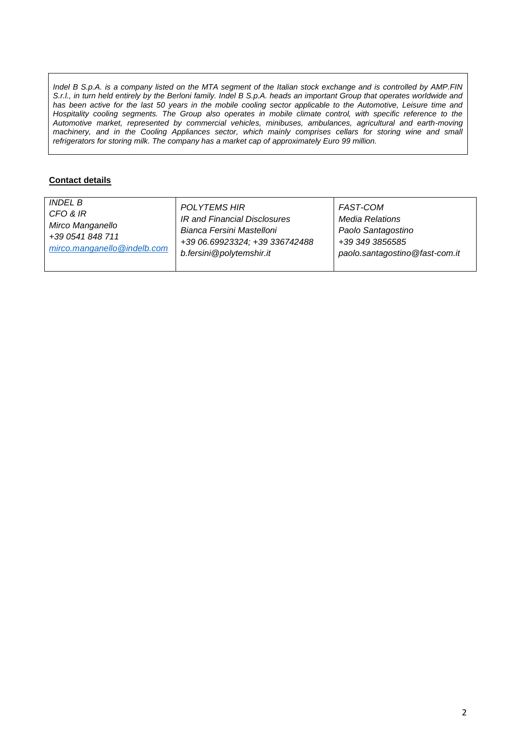*Indel B S.p.A. is a company listed on the MTA segment of the Italian stock exchange and is controlled by AMP.FIN S.r.l., in turn held entirely by the Berloni family. Indel B S.p.A. heads an important Group that operates worldwide and has been active for the last 50 years in the mobile cooling sector applicable to the Automotive, Leisure time and Hospitality cooling segments. The Group also operates in mobile climate control, with specific reference to the Automotive market, represented by commercial vehicles, minibuses, ambulances, agricultural and earth-moving machinery, and in the Cooling Appliances sector, which mainly comprises cellars for storing wine and small refrigerators for storing milk. The company has a market cap of approximately Euro 99 million.*

## **Contact details**

| <b>INDEL B</b>              | POLYTEMS HIR                   | FAST-COM                       |
|-----------------------------|--------------------------------|--------------------------------|
| CFO & IR                    | IR and Financial Disclosures   | <b>Media Relations</b>         |
| Mirco Manganello            | Bianca Fersini Mastelloni      | Paolo Santagostino             |
| +39 0541 848 711            | +39 06.69923324; +39 336742488 | +39 349 3856585                |
| mirco.manganello@indelb.com | b.fersini@polytemshir.it       | paolo.santagostino@fast-com.it |